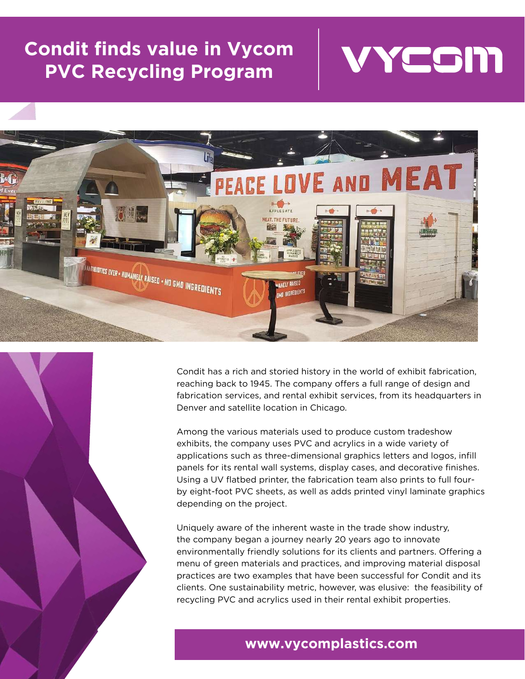### **Condit finds value in Vycom PVC Recycling Program**





Condit has a rich and storied history in the world of exhibit fabrication, reaching back to 1945. The company offers a full range of design and fabrication services, and rental exhibit services, from its headquarters in Denver and satellite location in Chicago.

Among the various materials used to produce custom tradeshow exhibits, the company uses PVC and acrylics in a wide variety of applications such as three-dimensional graphics letters and logos, infill panels for its rental wall systems, display cases, and decorative finishes. Using a UV flatbed printer, the fabrication team also prints to full fourby eight-foot PVC sheets, as well as adds printed vinyl laminate graphics depending on the project.

Uniquely aware of the inherent waste in the trade show industry, the company began a journey nearly 20 years ago to innovate environmentally friendly solutions for its clients and partners. Offering a menu of green materials and practices, and improving material disposal practices are two examples that have been successful for Condit and its clients. One sustainability metric, however, was elusive: the feasibility of recycling PVC and acrylics used in their rental exhibit properties.

### **www.vycomplastics.com**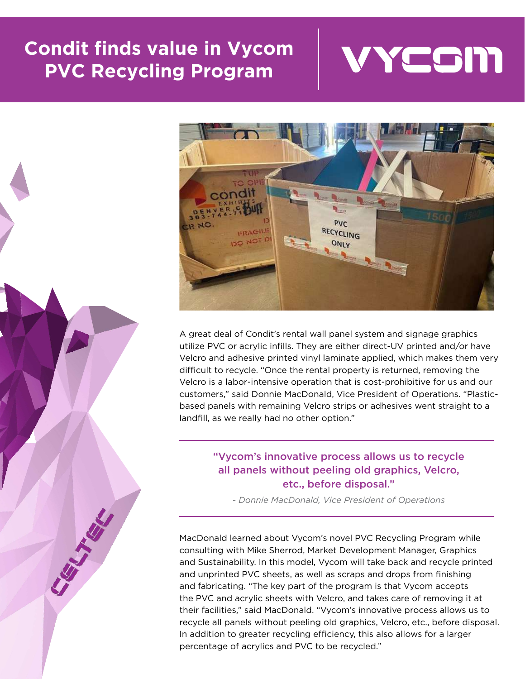## **Condit finds value in Vycom PVC Recycling Program**







A great deal of Condit's rental wall panel system and signage graphics utilize PVC or acrylic infills. They are either direct-UV printed and/or have Velcro and adhesive printed vinyl laminate applied, which makes them very difficult to recycle. "Once the rental property is returned, removing the Velcro is a labor-intensive operation that is cost-prohibitive for us and our customers," said Donnie MacDonald, Vice President of Operations. "Plasticbased panels with remaining Velcro strips or adhesives went straight to a landfill, as we really had no other option."

#### "Vycom's innovative process allows us to recycle all panels without peeling old graphics, Velcro, etc., before disposal."

*- Donnie MacDonald, Vice President of Operations*

MacDonald learned about Vycom's novel PVC Recycling Program while consulting with Mike Sherrod, Market Development Manager, Graphics and Sustainability. In this model, Vycom will take back and recycle printed and unprinted PVC sheets, as well as scraps and drops from finishing and fabricating. "The key part of the program is that Vycom accepts the PVC and acrylic sheets with Velcro, and takes care of removing it at their facilities," said MacDonald. "Vycom's innovative process allows us to recycle all panels without peeling old graphics, Velcro, etc., before disposal. In addition to greater recycling efficiency, this also allows for a larger percentage of acrylics and PVC to be recycled."